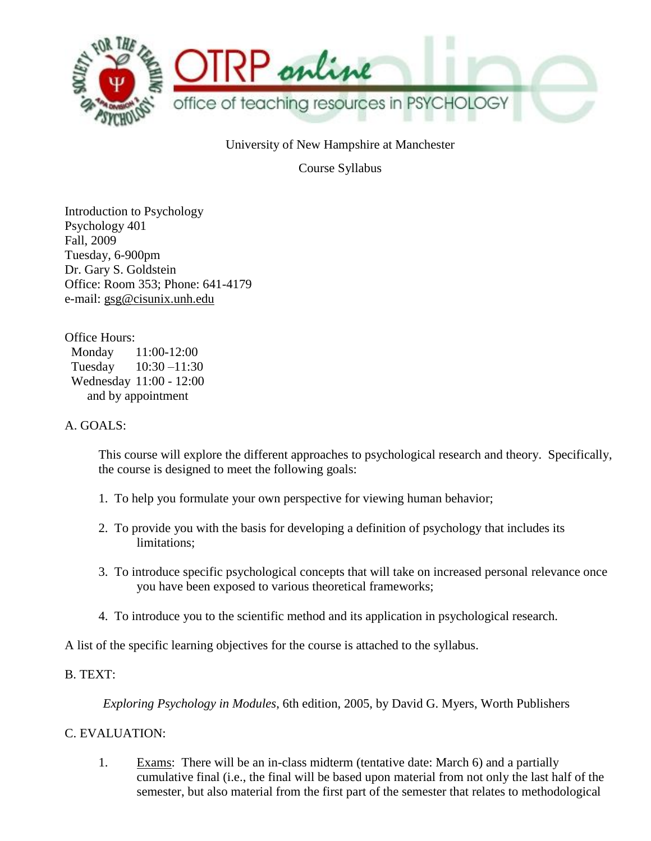

University of New Hampshire at Manchester

Course Syllabus

Introduction to Psychology Psychology 401 Fall, 2009 Tuesday, 6-900pm Dr. Gary S. Goldstein Office: Room 353; Phone: 641-4179 e-mail: gsg@cisunix.unh.edu

Office Hours: Monday 11:00-12:00 Tuesday 10:30 –11:30 Wednesday 11:00 - 12:00 and by appointment

#### A. GOALS:

This course will explore the different approaches to psychological research and theory. Specifically, the course is designed to meet the following goals:

- 1. To help you formulate your own perspective for viewing human behavior;
- 2. To provide you with the basis for developing a definition of psychology that includes its limitations;
- 3. To introduce specific psychological concepts that will take on increased personal relevance once you have been exposed to various theoretical frameworks;
- 4. To introduce you to the scientific method and its application in psychological research.

A list of the specific learning objectives for the course is attached to the syllabus.

## B. TEXT:

*Exploring Psychology in Modules*, 6th edition, 2005, by David G. Myers, Worth Publishers

C. EVALUATION:

1. Exams: There will be an in-class midterm (tentative date: March 6) and a partially cumulative final (i.e., the final will be based upon material from not only the last half of the semester, but also material from the first part of the semester that relates to methodological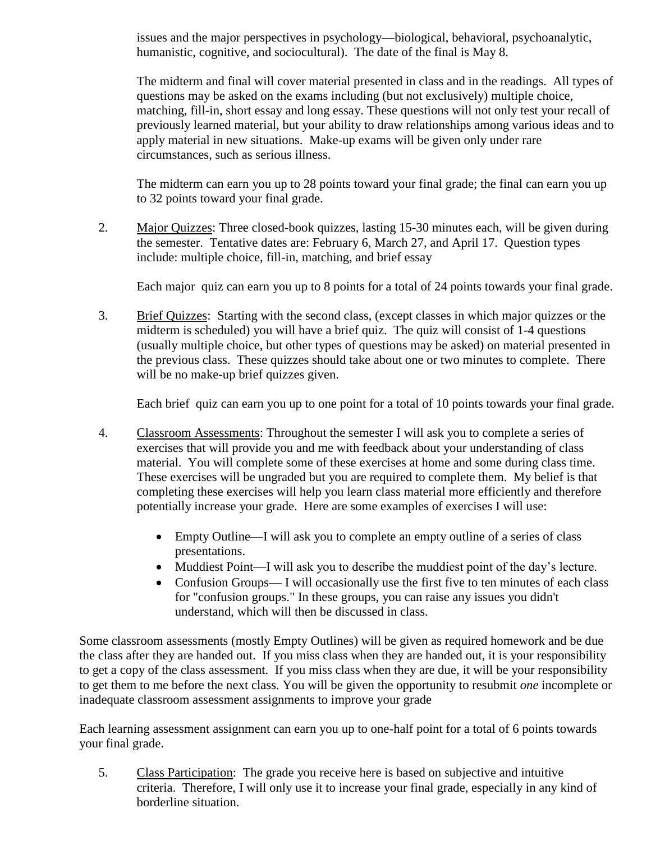issues and the major perspectives in psychology—biological, behavioral, psychoanalytic, humanistic, cognitive, and sociocultural). The date of the final is May 8.

The midterm and final will cover material presented in class and in the readings. All types of questions may be asked on the exams including (but not exclusively) multiple choice, matching, fill-in, short essay and long essay. These questions will not only test your recall of previously learned material, but your ability to draw relationships among various ideas and to apply material in new situations. Make-up exams will be given only under rare circumstances, such as serious illness.

The midterm can earn you up to 28 points toward your final grade; the final can earn you up to 32 points toward your final grade.

2. Major Quizzes: Three closed-book quizzes, lasting 15-30 minutes each, will be given during the semester. Tentative dates are: February 6, March 27, and April 17. Question types include: multiple choice, fill-in, matching, and brief essay

Each major quiz can earn you up to 8 points for a total of 24 points towards your final grade.

3. Brief Quizzes: Starting with the second class, (except classes in which major quizzes or the midterm is scheduled) you will have a brief quiz. The quiz will consist of 1-4 questions (usually multiple choice, but other types of questions may be asked) on material presented in the previous class. These quizzes should take about one or two minutes to complete. There will be no make-up brief quizzes given.

Each brief quiz can earn you up to one point for a total of 10 points towards your final grade.

- 4. Classroom Assessments: Throughout the semester I will ask you to complete a series of exercises that will provide you and me with feedback about your understanding of class material. You will complete some of these exercises at home and some during class time. These exercises will be ungraded but you are required to complete them. My belief is that completing these exercises will help you learn class material more efficiently and therefore potentially increase your grade. Here are some examples of exercises I will use:
	- Empty Outline—I will ask you to complete an empty outline of a series of class presentations.
	- Muddiest Point—I will ask you to describe the muddiest point of the day's lecture.
	- Confusion Groups— I will occasionally use the first five to ten minutes of each class for "confusion groups." In these groups, you can raise any issues you didn't understand, which will then be discussed in class.

Some classroom assessments (mostly Empty Outlines) will be given as required homework and be due the class after they are handed out. If you miss class when they are handed out, it is your responsibility to get a copy of the class assessment. If you miss class when they are due, it will be your responsibility to get them to me before the next class. You will be given the opportunity to resubmit *one* incomplete or inadequate classroom assessment assignments to improve your grade

Each learning assessment assignment can earn you up to one-half point for a total of 6 points towards your final grade.

5. Class Participation: The grade you receive here is based on subjective and intuitive criteria. Therefore, I will only use it to increase your final grade, especially in any kind of borderline situation.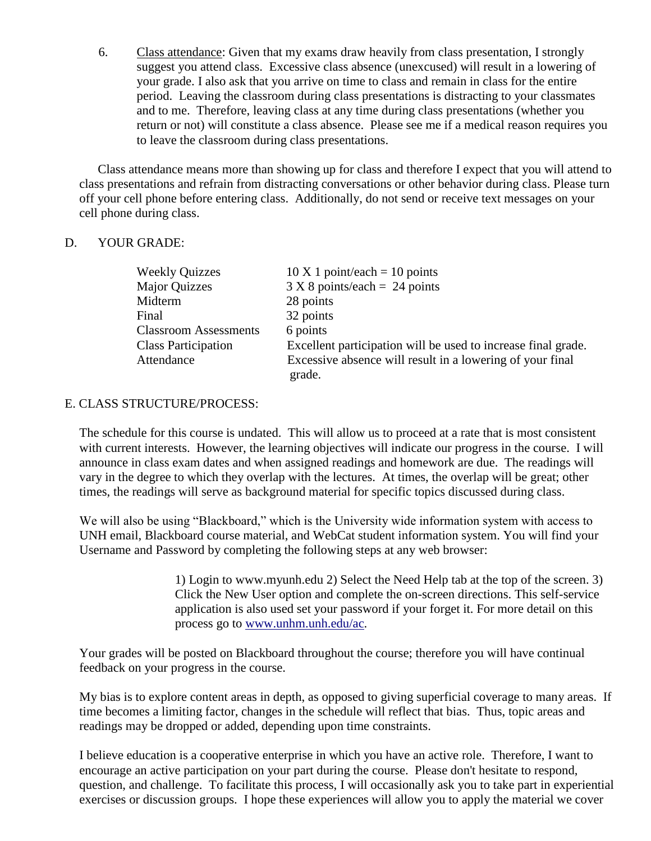6. Class attendance: Given that my exams draw heavily from class presentation, I strongly suggest you attend class. Excessive class absence (unexcused) will result in a lowering of your grade. I also ask that you arrive on time to class and remain in class for the entire period. Leaving the classroom during class presentations is distracting to your classmates and to me. Therefore, leaving class at any time during class presentations (whether you return or not) will constitute a class absence. Please see me if a medical reason requires you to leave the classroom during class presentations.

Class attendance means more than showing up for class and therefore I expect that you will attend to class presentations and refrain from distracting conversations or other behavior during class. Please turn off your cell phone before entering class. Additionally, do not send or receive text messages on your cell phone during class.

### D. YOUR GRADE:

| <b>Weekly Quizzes</b>        | $10 \text{ X} 1$ point/each = 10 points                       |
|------------------------------|---------------------------------------------------------------|
| <b>Major Quizzes</b>         | $3 X 8$ points/each = 24 points                               |
| Midterm                      | 28 points                                                     |
| Final                        | 32 points                                                     |
| <b>Classroom Assessments</b> | 6 points                                                      |
| <b>Class Participation</b>   | Excellent participation will be used to increase final grade. |
| Attendance                   | Excessive absence will result in a lowering of your final     |
|                              | grade.                                                        |

## E. CLASS STRUCTURE/PROCESS:

The schedule for this course is undated. This will allow us to proceed at a rate that is most consistent with current interests. However, the learning objectives will indicate our progress in the course. I will announce in class exam dates and when assigned readings and homework are due. The readings will vary in the degree to which they overlap with the lectures. At times, the overlap will be great; other times, the readings will serve as background material for specific topics discussed during class.

We will also be using "Blackboard," which is the University wide information system with access to UNH email, Blackboard course material, and WebCat student information system. You will find your Username and Password by completing the following steps at any web browser:

> 1) Login to [www.myunh.edu](http://www.myunh.edu/) 2) Select the Need Help tab at the top of the screen. 3) Click the New User option and complete the on-screen directions. This self-service application is also used set your password if your forget it. For more detail on this process go to [www.unhm.unh.edu/ac.](http://www.unhm.unh.edu/ac)

Your grades will be posted on Blackboard throughout the course; therefore you will have continual feedback on your progress in the course.

My bias is to explore content areas in depth, as opposed to giving superficial coverage to many areas. If time becomes a limiting factor, changes in the schedule will reflect that bias. Thus, topic areas and readings may be dropped or added, depending upon time constraints.

I believe education is a cooperative enterprise in which you have an active role. Therefore, I want to encourage an active participation on your part during the course. Please don't hesitate to respond, question, and challenge. To facilitate this process, I will occasionally ask you to take part in experiential exercises or discussion groups. I hope these experiences will allow you to apply the material we cover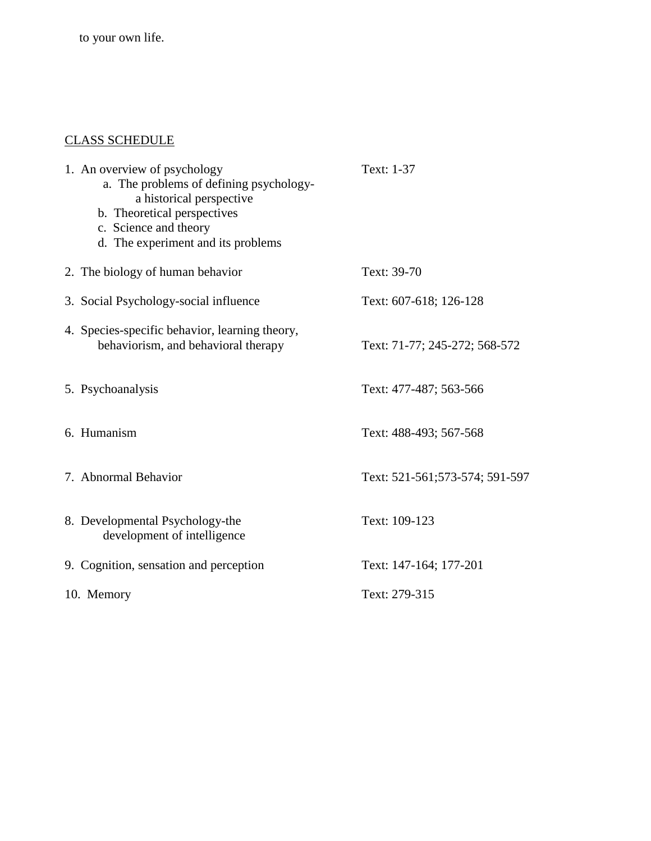to your own life.

# CLASS SCHEDULE

| 1. An overview of psychology<br>a. The problems of defining psychology-<br>a historical perspective<br>b. Theoretical perspectives<br>c. Science and theory<br>d. The experiment and its problems | Text: 1-37                     |
|---------------------------------------------------------------------------------------------------------------------------------------------------------------------------------------------------|--------------------------------|
| 2. The biology of human behavior                                                                                                                                                                  | Text: 39-70                    |
| 3. Social Psychology-social influence                                                                                                                                                             | Text: 607-618; 126-128         |
| 4. Species-specific behavior, learning theory,<br>behaviorism, and behavioral therapy                                                                                                             | Text: 71-77; 245-272; 568-572  |
| 5. Psychoanalysis                                                                                                                                                                                 | Text: 477-487; 563-566         |
| 6. Humanism                                                                                                                                                                                       | Text: 488-493; 567-568         |
| 7. Abnormal Behavior                                                                                                                                                                              | Text: 521-561;573-574; 591-597 |
| 8. Developmental Psychology-the<br>development of intelligence                                                                                                                                    | Text: 109-123                  |
| 9. Cognition, sensation and perception                                                                                                                                                            | Text: 147-164; 177-201         |
| 10. Memory                                                                                                                                                                                        | Text: 279-315                  |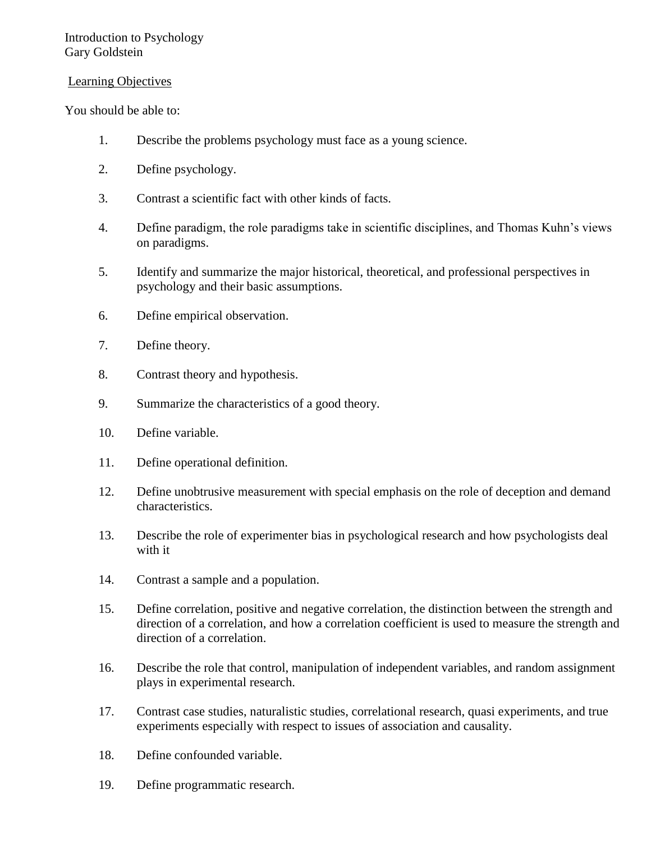### Learning Objectives

You should be able to:

- 1. Describe the problems psychology must face as a young science.
- 2. Define psychology.
- 3. Contrast a scientific fact with other kinds of facts.
- 4. Define paradigm, the role paradigms take in scientific disciplines, and Thomas Kuhn's views on paradigms.
- 5. Identify and summarize the major historical, theoretical, and professional perspectives in psychology and their basic assumptions.
- 6. Define empirical observation.
- 7. Define theory.
- 8. Contrast theory and hypothesis.
- 9. Summarize the characteristics of a good theory.
- 10. Define variable.
- 11. Define operational definition.
- 12. Define unobtrusive measurement with special emphasis on the role of deception and demand characteristics.
- 13. Describe the role of experimenter bias in psychological research and how psychologists deal with it
- 14. Contrast a sample and a population.
- 15. Define correlation, positive and negative correlation, the distinction between the strength and direction of a correlation, and how a correlation coefficient is used to measure the strength and direction of a correlation.
- 16. Describe the role that control, manipulation of independent variables, and random assignment plays in experimental research.
- 17. Contrast case studies, naturalistic studies, correlational research, quasi experiments, and true experiments especially with respect to issues of association and causality.
- 18. Define confounded variable.
- 19. Define programmatic research.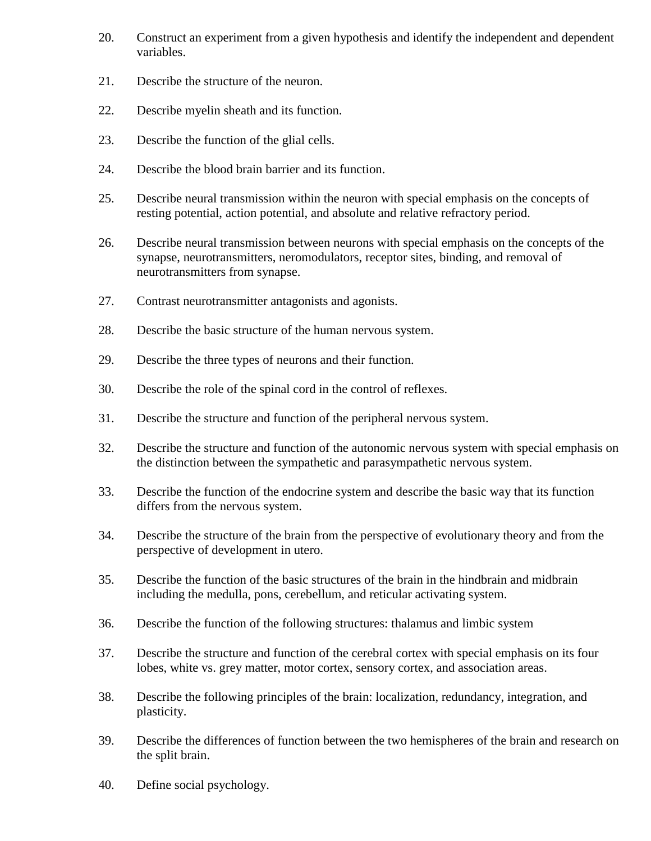- 20. Construct an experiment from a given hypothesis and identify the independent and dependent variables.
- 21. Describe the structure of the neuron.
- 22. Describe myelin sheath and its function.
- 23. Describe the function of the glial cells.
- 24. Describe the blood brain barrier and its function.
- 25. Describe neural transmission within the neuron with special emphasis on the concepts of resting potential, action potential, and absolute and relative refractory period.
- 26. Describe neural transmission between neurons with special emphasis on the concepts of the synapse, neurotransmitters, neromodulators, receptor sites, binding, and removal of neurotransmitters from synapse.
- 27. Contrast neurotransmitter antagonists and agonists.
- 28. Describe the basic structure of the human nervous system.
- 29. Describe the three types of neurons and their function.
- 30. Describe the role of the spinal cord in the control of reflexes.
- 31. Describe the structure and function of the peripheral nervous system.
- 32. Describe the structure and function of the autonomic nervous system with special emphasis on the distinction between the sympathetic and parasympathetic nervous system.
- 33. Describe the function of the endocrine system and describe the basic way that its function differs from the nervous system.
- 34. Describe the structure of the brain from the perspective of evolutionary theory and from the perspective of development in utero.
- 35. Describe the function of the basic structures of the brain in the hindbrain and midbrain including the medulla, pons, cerebellum, and reticular activating system.
- 36. Describe the function of the following structures: thalamus and limbic system
- 37. Describe the structure and function of the cerebral cortex with special emphasis on its four lobes, white vs. grey matter, motor cortex, sensory cortex, and association areas.
- 38. Describe the following principles of the brain: localization, redundancy, integration, and plasticity.
- 39. Describe the differences of function between the two hemispheres of the brain and research on the split brain.
- 40. Define social psychology.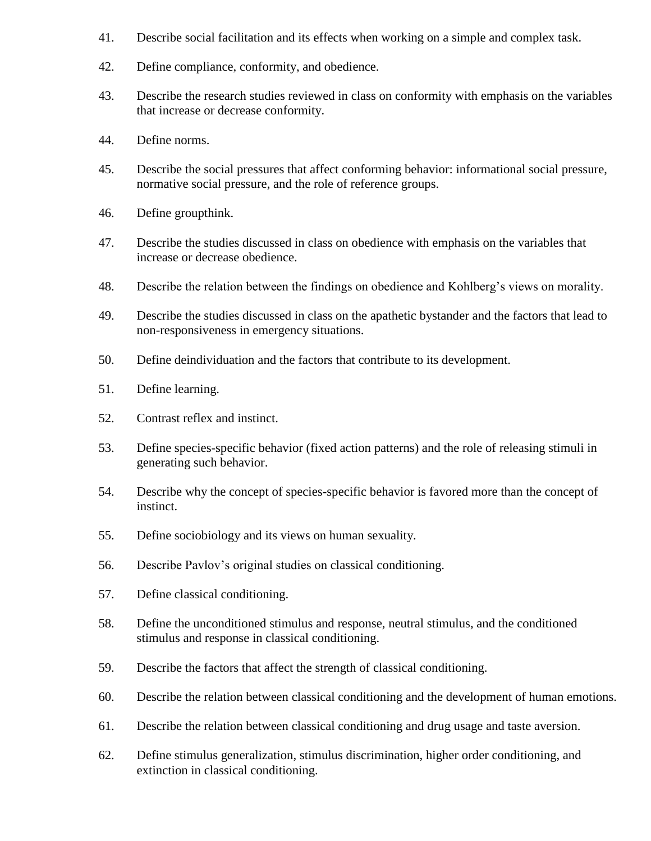- 41. Describe social facilitation and its effects when working on a simple and complex task.
- 42. Define compliance, conformity, and obedience.
- 43. Describe the research studies reviewed in class on conformity with emphasis on the variables that increase or decrease conformity.
- 44. Define norms.
- 45. Describe the social pressures that affect conforming behavior: informational social pressure, normative social pressure, and the role of reference groups.
- 46. Define groupthink.
- 47. Describe the studies discussed in class on obedience with emphasis on the variables that increase or decrease obedience.
- 48. Describe the relation between the findings on obedience and Kohlberg's views on morality.
- 49. Describe the studies discussed in class on the apathetic bystander and the factors that lead to non-responsiveness in emergency situations.
- 50. Define deindividuation and the factors that contribute to its development.
- 51. Define learning.
- 52. Contrast reflex and instinct.
- 53. Define species-specific behavior (fixed action patterns) and the role of releasing stimuli in generating such behavior.
- 54. Describe why the concept of species-specific behavior is favored more than the concept of instinct.
- 55. Define sociobiology and its views on human sexuality.
- 56. Describe Pavlov's original studies on classical conditioning.
- 57. Define classical conditioning.
- 58. Define the unconditioned stimulus and response, neutral stimulus, and the conditioned stimulus and response in classical conditioning.
- 59. Describe the factors that affect the strength of classical conditioning.
- 60. Describe the relation between classical conditioning and the development of human emotions.
- 61. Describe the relation between classical conditioning and drug usage and taste aversion.
- 62. Define stimulus generalization, stimulus discrimination, higher order conditioning, and extinction in classical conditioning.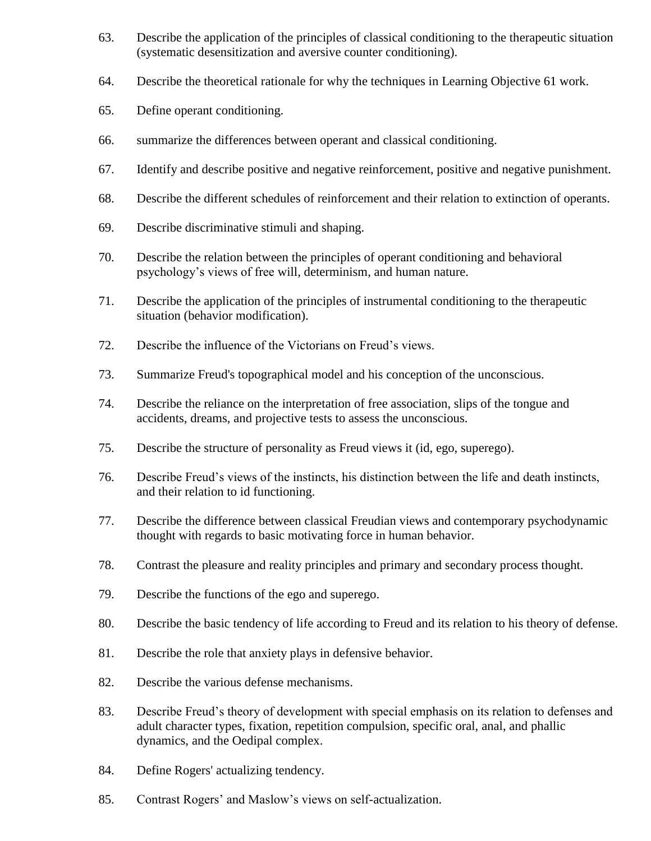- 63. Describe the application of the principles of classical conditioning to the therapeutic situation (systematic desensitization and aversive counter conditioning).
- 64. Describe the theoretical rationale for why the techniques in Learning Objective 61 work.
- 65. Define operant conditioning.
- 66. summarize the differences between operant and classical conditioning.
- 67. Identify and describe positive and negative reinforcement, positive and negative punishment.
- 68. Describe the different schedules of reinforcement and their relation to extinction of operants.
- 69. Describe discriminative stimuli and shaping.
- 70. Describe the relation between the principles of operant conditioning and behavioral psychology's views of free will, determinism, and human nature.
- 71. Describe the application of the principles of instrumental conditioning to the therapeutic situation (behavior modification).
- 72. Describe the influence of the Victorians on Freud's views.
- 73. Summarize Freud's topographical model and his conception of the unconscious.
- 74. Describe the reliance on the interpretation of free association, slips of the tongue and accidents, dreams, and projective tests to assess the unconscious.
- 75. Describe the structure of personality as Freud views it (id, ego, superego).
- 76. Describe Freud's views of the instincts, his distinction between the life and death instincts, and their relation to id functioning.
- 77. Describe the difference between classical Freudian views and contemporary psychodynamic thought with regards to basic motivating force in human behavior.
- 78. Contrast the pleasure and reality principles and primary and secondary process thought.
- 79. Describe the functions of the ego and superego.
- 80. Describe the basic tendency of life according to Freud and its relation to his theory of defense.
- 81. Describe the role that anxiety plays in defensive behavior.
- 82. Describe the various defense mechanisms.
- 83. Describe Freud's theory of development with special emphasis on its relation to defenses and adult character types, fixation, repetition compulsion, specific oral, anal, and phallic dynamics, and the Oedipal complex.
- 84. Define Rogers' actualizing tendency.
- 85. Contrast Rogers' and Maslow's views on self-actualization.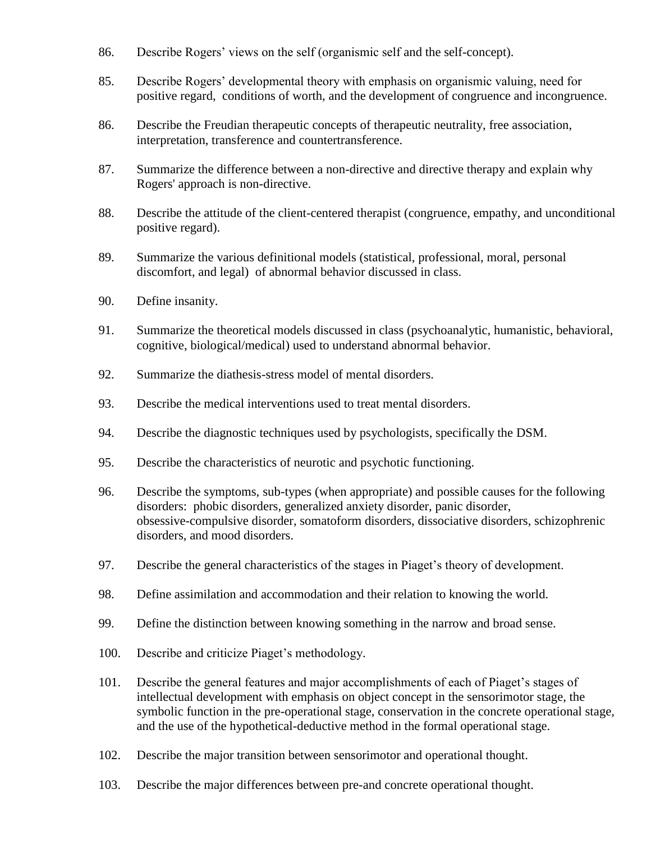- 86. Describe Rogers' views on the self (organismic self and the self-concept).
- 85. Describe Rogers' developmental theory with emphasis on organismic valuing, need for positive regard, conditions of worth, and the development of congruence and incongruence.
- 86. Describe the Freudian therapeutic concepts of therapeutic neutrality, free association, interpretation, transference and countertransference.
- 87. Summarize the difference between a non-directive and directive therapy and explain why Rogers' approach is non-directive.
- 88. Describe the attitude of the client-centered therapist (congruence, empathy, and unconditional positive regard).
- 89. Summarize the various definitional models (statistical, professional, moral, personal discomfort, and legal) of abnormal behavior discussed in class.
- 90. Define insanity.
- 91. Summarize the theoretical models discussed in class (psychoanalytic, humanistic, behavioral, cognitive, biological/medical) used to understand abnormal behavior.
- 92. Summarize the diathesis-stress model of mental disorders.
- 93. Describe the medical interventions used to treat mental disorders.
- 94. Describe the diagnostic techniques used by psychologists, specifically the DSM.
- 95. Describe the characteristics of neurotic and psychotic functioning.
- 96. Describe the symptoms, sub-types (when appropriate) and possible causes for the following disorders: phobic disorders, generalized anxiety disorder, panic disorder, obsessive-compulsive disorder, somatoform disorders, dissociative disorders, schizophrenic disorders, and mood disorders.
- 97. Describe the general characteristics of the stages in Piaget's theory of development.
- 98. Define assimilation and accommodation and their relation to knowing the world.
- 99. Define the distinction between knowing something in the narrow and broad sense.
- 100. Describe and criticize Piaget's methodology.
- 101. Describe the general features and major accomplishments of each of Piaget's stages of intellectual development with emphasis on object concept in the sensorimotor stage, the symbolic function in the pre-operational stage, conservation in the concrete operational stage, and the use of the hypothetical-deductive method in the formal operational stage.
- 102. Describe the major transition between sensorimotor and operational thought.
- 103. Describe the major differences between pre-and concrete operational thought.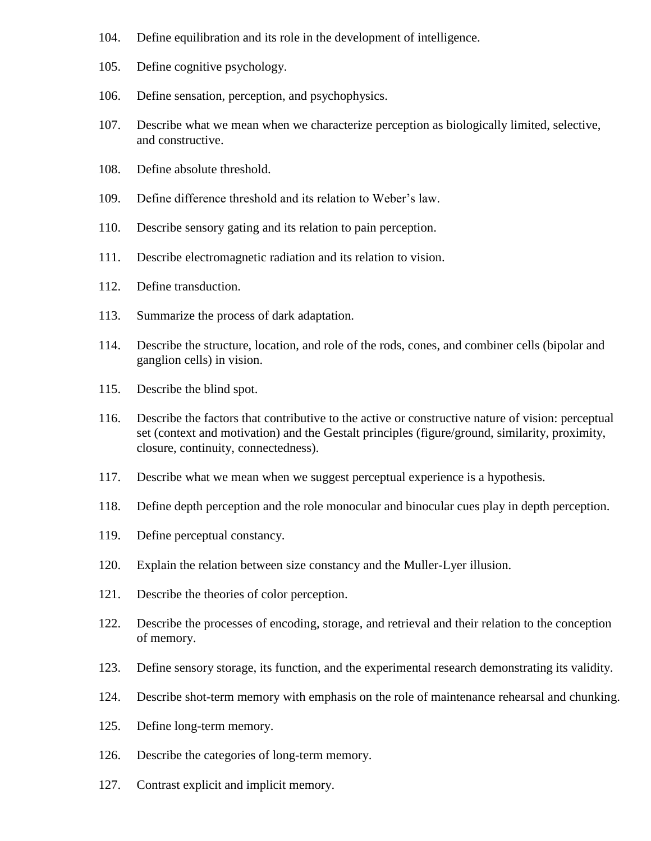- 104. Define equilibration and its role in the development of intelligence.
- 105. Define cognitive psychology.
- 106. Define sensation, perception, and psychophysics.
- 107. Describe what we mean when we characterize perception as biologically limited, selective, and constructive.
- 108. Define absolute threshold.
- 109. Define difference threshold and its relation to Weber's law.
- 110. Describe sensory gating and its relation to pain perception.
- 111. Describe electromagnetic radiation and its relation to vision.
- 112. Define transduction.
- 113. Summarize the process of dark adaptation.
- 114. Describe the structure, location, and role of the rods, cones, and combiner cells (bipolar and ganglion cells) in vision.
- 115. Describe the blind spot.
- 116. Describe the factors that contributive to the active or constructive nature of vision: perceptual set (context and motivation) and the Gestalt principles (figure/ground, similarity, proximity, closure, continuity, connectedness).
- 117. Describe what we mean when we suggest perceptual experience is a hypothesis.
- 118. Define depth perception and the role monocular and binocular cues play in depth perception.
- 119. Define perceptual constancy.
- 120. Explain the relation between size constancy and the Muller-Lyer illusion.
- 121. Describe the theories of color perception.
- 122. Describe the processes of encoding, storage, and retrieval and their relation to the conception of memory.
- 123. Define sensory storage, its function, and the experimental research demonstrating its validity.
- 124. Describe shot-term memory with emphasis on the role of maintenance rehearsal and chunking.
- 125. Define long-term memory.
- 126. Describe the categories of long-term memory.
- 127. Contrast explicit and implicit memory.